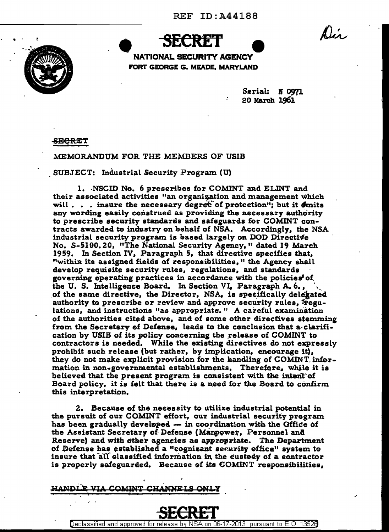Dis.



NATIONAL SECURITY AGENCY FORT GEORGE G. MEADE, MARYLAND

> Serial: N 0971 20 March 1961

<del>SECRE</del>T

MEMORANDUM FOR THE MEMBERS OF USIB

SUBJECT: Industrial Security Program (U)

1. NSCID No. 6 prescribes for COMINT and ELINT and their associated activities "an organization and management which will . . . insure the necessary degree of protection"; but it  $\delta$ mits any wording easily construed as providing the necessary authority to prescribe security standards and safeguards for COMINT contracts awarded to industry on behalf of NSA. Accordingly, the NSA industrial security program is based largely on DOD Directive No. S-5100.20, "The National Security Agency," dated 19 March 1959. In Section IV, Paragraph 5, that directive specifies that, "within its assigned fields of responsibilities," the Agency shall develop requisite security rules, regulations, and standards governing operating practices in accordance with the policies<sup>t</sup> of the U.S. Intelligence Board. In Section VI. Paragraph A.6., of the same directive, the Director, NSA, is specifically delegated authority to prescribe or review and approve security rules, Fegulations, and instructions "as apprepriate." A careful examination of the authorities cited above, and of some other directives stemming from the Secretary of Defense, leads to the conclusion that a clarification by USIB of its policy concerning the release of COMINT to contractors is needed. While the existing directives do not expressly prohibit such release (but rather, by implication, encourage it), they do not make explicit provision for the handling of COMINT information in non-governmental establishments. Therefore, while it is believed that the present program is consistent with the intent of Board policy, it is felt that there is a need for the Board to confirm this interpretation.

2. Because of the necessity to utilize industrial potential in the pursuit of our COMINT effort, our industrial security program has been gradually developed - in coordination with the Office of the Assistant Secretary of Defense (Manpower, Personnel and Reserve) and with other agencies as appropriate. The Department of Defense has established a "cognizant security office" system to insure that all classified information in the custody of a contractor is properly safeguarded. Because of its COMINT responsibilities,

NNET C HANDLE VIA COMINT



<u>06-17-2013 pursuant to E.O.</u> Declassified and approved for rele 1352A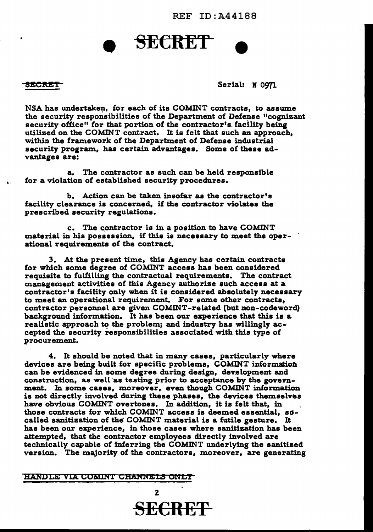REF ID:A441BB

# **SECRET**

'.

SECRET Serial: N 0971

NSA has undertaken, for each of its COMINT contracts, to assume the security responsibilities of the Department of Defense "cognizant security office" for that portion of the contractor's. facility being utilized on the COMINT contract. It is felt that such an approach, within the framework of the Department of Defense industrial security program, has certain advantages. Some of these advantages are:

a. The contractor as such can be held responsible for a violation of established security procedures.

b. Action can be taken insofar as the contractor's facility clearance is concerned, if the contractor violates the prescribed security regulations.

c. The contractor is in a position to have COMINT material in his possession, if this is necessary to meet the operational requirements of the contract.

3. At the present time, this Agency has certain contracts for which some degree of COMINT access has been considered requisite to fulfilling the contractual requirements. The contract management activities of this Agency authorize such access at a contractor's facility only when it is considered absolutely necessary to meet an operational requirement. For some other contracts, contractor personnel are given COMINT-related (but non-codeword) background information. It has been our experience that this is a realistic approach to the problem; and industry has willingly accepted the security responsibilities associated with this type of procurement.

4. It should be noted that in many cases, particularly where devices are being built for specific problems, COMINT information can be evidenced in some degree during design, development and construction, as well as testing prior to acceptance by the government. In some cases, moreover, even though COMINT information is not directly involved during these phases, the devices themselves have obvious COMINT overtones. In addition, it is felt that, in those contracts for which COMINT access is deemed essential, so' called sanitization of the COMINT material is a futile gesture. It has been our experience, in those cases where sanitization has been attempted, that the contractor employees directly involved are technically capable of inferring the COMINT underlying the sanitized version. The majority of the contractors, moreover, are generating

## HANDLE VIA COMINI CHANNELS ONLY

2 SECRET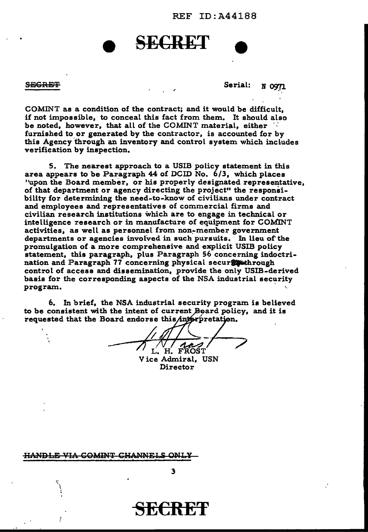REF ID:A441BB

## **SECRET**

SECRET MOTION CONTROL SECRET SECRET

COMINT as a condition of the contract; and it would be difficult, if not impossible, to conceal this fact from them. It should also be noted, however, that all of the COMINT material, either *·:*  furnished to or generated by the contractor, is accounted for by this Agency through an inventory and control system which includes verification by inspection.

5. The nearest approach to a USIB policy statement in this area appears to be Paragraph 44 of DCID No. 6/3, which places "upon the Board member, or his properly designated representative, of that department or agency directing the project" the responsibility for determining the need-to-know of civilians under contract and employees and representatives of commercial firms and civilian research institutions which are to engage in technical or intelligence research or in manufacture of equipment for COMINT activities, as well as personnel from non~member government departments or agencies involved in such pursuits. In lieu of the promulgation of a more comprehensive and explicit USIB policy statement, this paragraph, plus Paragraph 56 concerning indoctrination and Paragraph 77 concerning physical secur control of access and dissemination, provide the only USIB-derived basis for the corresponding aspects of the NSA industrial security program.

6. In brief, the NSA industrial security program is believed to be consistent with the intent of current Board policy, and it is requested that the Board endorse this interpretation.

 $-$  /  $\sqrt{\frac{1}{L}H}$   $F_{ROST}$ Vice Admiral, USN

Director

<del>HANDLE VIA COMINT CHANNEI</del>

**SECRET**